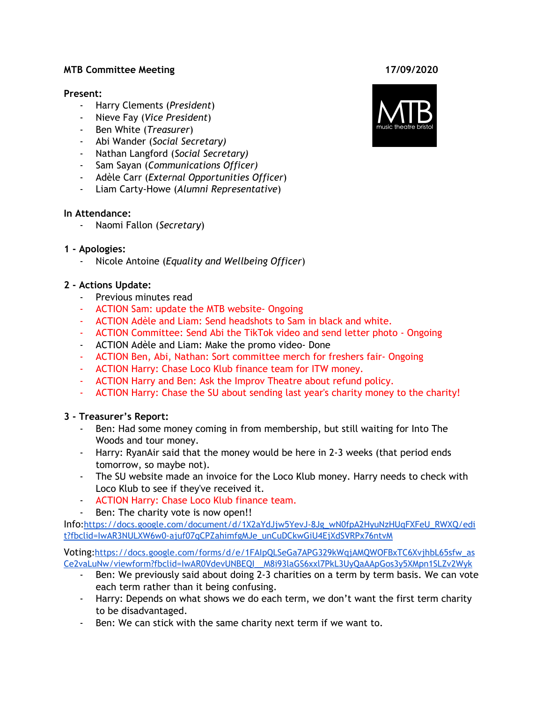#### **MTB Committee Meeting 17/09/2020**

#### **Present:**

- Harry Clements (*President*)
- Nieve Fay (*Vice President*)
- Ben White (*Treasurer*)
- Abi Wander (*Social Secretary)*
- Nathan Langford (*Social Secretary)*
- Sam Sayan (*Communications Officer)*
- Adèle Carr (*External Opportunities Officer*)
- Liam Carty-Howe (*Alumni Representative*)

## **In Attendance:**

- Naomi Fallon (*Secretary*)

## **1 - Apologies:**

- Nicole Antoine (*Equality and Wellbeing Officer*)

## **2 - Actions Update:**

- Previous minutes read
- ACTION Sam: update the MTB website- Ongoing
- ACTION Adèle and Liam: Send headshots to Sam in black and white.
- ACTION Committee: Send Abi the TikTok video and send letter photo Ongoing
- ACTION Adèle and Liam: Make the promo video- Done
- ACTION Ben, Abi, Nathan: Sort committee merch for freshers fair- Ongoing
- ACTION Harry: Chase Loco Klub finance team for ITW money.
- ACTION Harry and Ben: Ask the Improv Theatre about refund policy.
- ACTION Harry: Chase the SU about sending last year's charity money to the charity!

## **3 - Treasurer's Report:**

- Ben: Had some money coming in from membership, but still waiting for Into The Woods and tour money.
- Harry: RyanAir said that the money would be here in 2-3 weeks (that period ends tomorrow, so maybe not).
- The SU website made an invoice for the Loco Klub money. Harry needs to check with Loco Klub to see if they've received it.
- ACTION Harry: Chase Loco Klub finance team.
- Ben: The charity vote is now open!!

Info[:https://docs.google.com/document/d/1X2aYdJjw5YevJ-8Jg\\_wN0fpA2HyuNzHUqFXFeU\\_RWXQ/edi](https://docs.google.com/document/d/1X2aYdJjw5YevJ-8Jg_wN0fpA2HyuNzHUqFXFeU_RWXQ/edit?fbclid=IwAR3NULXW6w0-ajuf07qCPZahimfgMJe_unCuDCkwGiU4EjXdSVRPx76ntvM) [t?fbclid=IwAR3NULXW6w0-ajuf07qCPZahimfgMJe\\_unCuDCkwGiU4EjXdSVRPx76ntvM](https://docs.google.com/document/d/1X2aYdJjw5YevJ-8Jg_wN0fpA2HyuNzHUqFXFeU_RWXQ/edit?fbclid=IwAR3NULXW6w0-ajuf07qCPZahimfgMJe_unCuDCkwGiU4EjXdSVRPx76ntvM)

Voting[:https://docs.google.com/forms/d/e/1FAIpQLSeGa7APG329kWqjAMQWOFBxTC6XvjhbL65sfw\\_as](https://docs.google.com/forms/d/e/1FAIpQLSeGa7APG329kWqjAMQWOFBxTC6XvjhbL65sfw_asCe2vaLuNw/viewform?fbclid=IwAR0VdevUNBEQI__M8i93laGS6xxl7PkL3UyQaAApGos3y5XMpn1SLZv2Wyk) [Ce2vaLuNw/viewform?fbclid=IwAR0VdevUNBEQI\\_\\_M8i93laGS6xxl7PkL3UyQaAApGos3y5XMpn1SLZv2Wyk](https://docs.google.com/forms/d/e/1FAIpQLSeGa7APG329kWqjAMQWOFBxTC6XvjhbL65sfw_asCe2vaLuNw/viewform?fbclid=IwAR0VdevUNBEQI__M8i93laGS6xxl7PkL3UyQaAApGos3y5XMpn1SLZv2Wyk)

- Ben: We previously said about doing 2-3 charities on a term by term basis. We can vote each term rather than it being confusing.
- Harry: Depends on what shows we do each term, we don't want the first term charity to be disadvantaged.
- Ben: We can stick with the same charity next term if we want to.

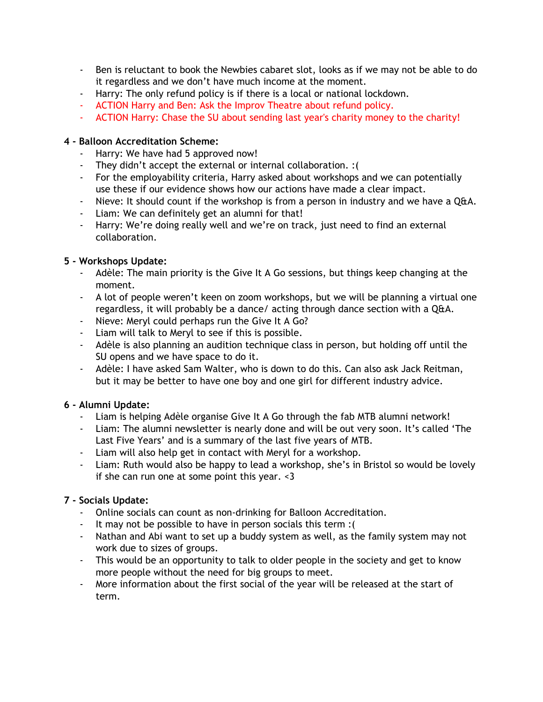- Ben is reluctant to book the Newbies cabaret slot, looks as if we may not be able to do it regardless and we don't have much income at the moment.
- Harry: The only refund policy is if there is a local or national lockdown.
- ACTION Harry and Ben: Ask the Improv Theatre about refund policy.
- ACTION Harry: Chase the SU about sending last year's charity money to the charity!

## **4 - Balloon Accreditation Scheme:**

- Harry: We have had 5 approved now!
- They didn't accept the external or internal collaboration. :(
- For the employability criteria, Harry asked about workshops and we can potentially use these if our evidence shows how our actions have made a clear impact.
- Nieve: It should count if the workshop is from a person in industry and we have a Q&A.
- Liam: We can definitely get an alumni for that!
- Harry: We're doing really well and we're on track, just need to find an external collaboration.

# **5 - Workshops Update:**

- Adèle: The main priority is the Give It A Go sessions, but things keep changing at the moment.
- A lot of people weren't keen on zoom workshops, but we will be planning a virtual one regardless, it will probably be a dance/ acting through dance section with a Q&A.
- Nieve: Meryl could perhaps run the Give It A Go?
- Liam will talk to Meryl to see if this is possible.
- Adèle is also planning an audition technique class in person, but holding off until the SU opens and we have space to do it.
- Adèle: I have asked Sam Walter, who is down to do this. Can also ask Jack Reitman, but it may be better to have one boy and one girl for different industry advice.

## **6 - Alumni Update:**

- Liam is helping Adèle organise Give It A Go through the fab MTB alumni network!
- Liam: The alumni newsletter is nearly done and will be out very soon. It's called 'The Last Five Years' and is a summary of the last five years of MTB.
- Liam will also help get in contact with Meryl for a workshop.
- Liam: Ruth would also be happy to lead a workshop, she's in Bristol so would be lovely if she can run one at some point this year. <3

# **7 - Socials Update:**

- Online socials can count as non-drinking for Balloon Accreditation.
- It may not be possible to have in person socials this term :(
- Nathan and Abi want to set up a buddy system as well, as the family system may not work due to sizes of groups.
- This would be an opportunity to talk to older people in the society and get to know more people without the need for big groups to meet.
- More information about the first social of the year will be released at the start of term.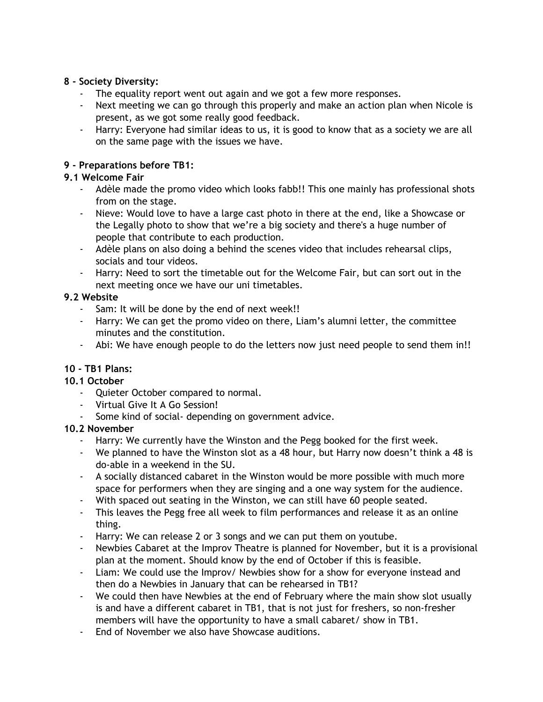## **8 - Society Diversity:**

- The equality report went out again and we got a few more responses.
- Next meeting we can go through this properly and make an action plan when Nicole is present, as we got some really good feedback.
- Harry: Everyone had similar ideas to us, it is good to know that as a society we are all on the same page with the issues we have.

## **9 - Preparations before TB1:**

## **9.1 Welcome Fair**

- Adèle made the promo video which looks fabb!! This one mainly has professional shots from on the stage.
- Nieve: Would love to have a large cast photo in there at the end, like a Showcase or the Legally photo to show that we're a big society and there's a huge number of people that contribute to each production.
- Adèle plans on also doing a behind the scenes video that includes rehearsal clips, socials and tour videos.
- Harry: Need to sort the timetable out for the Welcome Fair, but can sort out in the next meeting once we have our uni timetables.

## **9.2 Website**

- Sam: It will be done by the end of next week!!
- Harry: We can get the promo video on there, Liam's alumni letter, the committee minutes and the constitution.
- Abi: We have enough people to do the letters now just need people to send them in!!

## **10 - TB1 Plans:**

## **10.1 October**

- Quieter October compared to normal.
- Virtual Give It A Go Session!
- Some kind of social- depending on government advice.

## **10.2 November**

- Harry: We currently have the Winston and the Pegg booked for the first week.
- We planned to have the Winston slot as a 48 hour, but Harry now doesn't think a 48 is do-able in a weekend in the SU.
- A socially distanced cabaret in the Winston would be more possible with much more space for performers when they are singing and a one way system for the audience.
- With spaced out seating in the Winston, we can still have 60 people seated.
- This leaves the Pegg free all week to film performances and release it as an online thing.
- Harry: We can release 2 or 3 songs and we can put them on youtube.
- Newbies Cabaret at the Improv Theatre is planned for November, but it is a provisional plan at the moment. Should know by the end of October if this is feasible.
- Liam: We could use the Improv/ Newbies show for a show for everyone instead and then do a Newbies in January that can be rehearsed in TB1?
- We could then have Newbies at the end of February where the main show slot usually is and have a different cabaret in TB1, that is not just for freshers, so non-fresher members will have the opportunity to have a small cabaret/ show in TB1.
- End of November we also have Showcase auditions.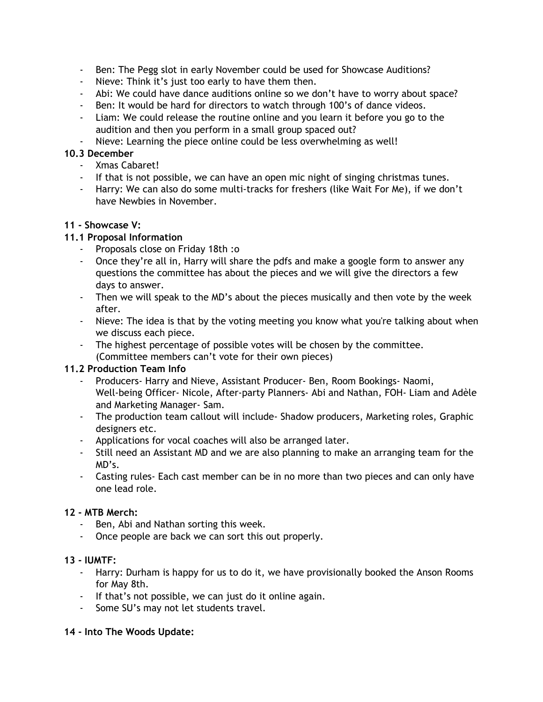- Ben: The Pegg slot in early November could be used for Showcase Auditions?
- Nieve: Think it's just too early to have them then.
- Abi: We could have dance auditions online so we don't have to worry about space?
- Ben: It would be hard for directors to watch through 100's of dance videos.
- Liam: We could release the routine online and you learn it before you go to the audition and then you perform in a small group spaced out?
- Nieve: Learning the piece online could be less overwhelming as well!

## **10.3 December**

- Xmas Cabaret!
- If that is not possible, we can have an open mic night of singing christmas tunes.
- Harry: We can also do some multi-tracks for freshers (like Wait For Me), if we don't have Newbies in November.

## **11 - Showcase V:**

## **11.1 Proposal Information**

- Proposals close on Friday 18th :o
- Once they're all in, Harry will share the pdfs and make a google form to answer any questions the committee has about the pieces and we will give the directors a few days to answer.
- Then we will speak to the MD's about the pieces musically and then vote by the week after.
- Nieve: The idea is that by the voting meeting you know what you're talking about when we discuss each piece.
- The highest percentage of possible votes will be chosen by the committee. (Committee members can't vote for their own pieces)

## **11.2 Production Team Info**

- Producers- Harry and Nieve, Assistant Producer- Ben, Room Bookings- Naomi, Well-being Officer- Nicole, After-party Planners- Abi and Nathan, FOH- Liam and Adèle and Marketing Manager- Sam.
- The production team callout will include- Shadow producers, Marketing roles, Graphic designers etc.
- Applications for vocal coaches will also be arranged later.
- Still need an Assistant MD and we are also planning to make an arranging team for the MD's.
- Casting rules- Each cast member can be in no more than two pieces and can only have one lead role.

## **12 - MTB Merch:**

- Ben, Abi and Nathan sorting this week.
- Once people are back we can sort this out properly.

## **13 - IUMTF:**

- Harry: Durham is happy for us to do it, we have provisionally booked the Anson Rooms for May 8th.
- If that's not possible, we can just do it online again.
- Some SU's may not let students travel.

## **14 - Into The Woods Update:**